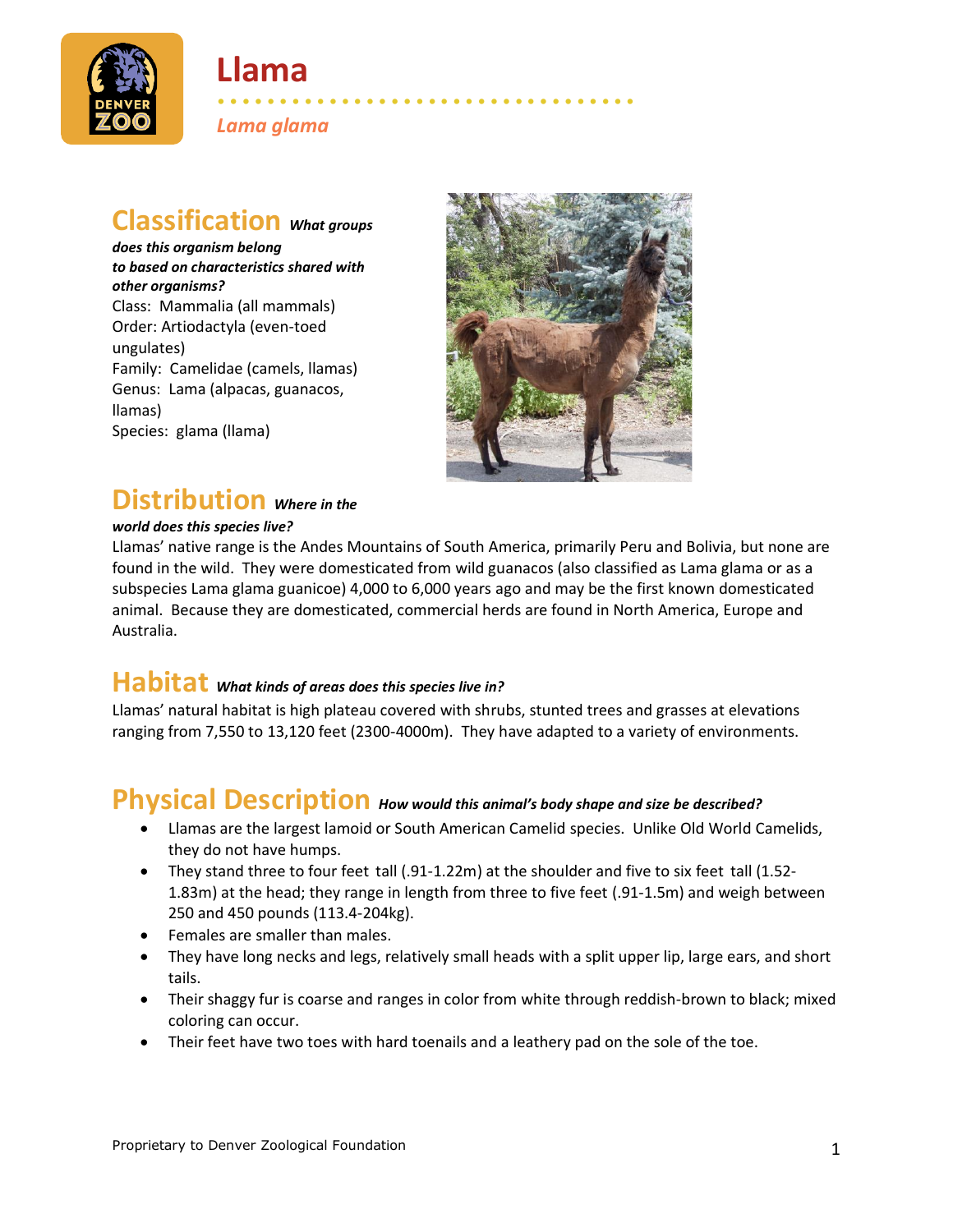

## **Llama**

*Lama glama*

#### **Classification** *What groups*

*does this organism belong to based on characteristics shared with other organisms?* Class: Mammalia (all mammals) Order: Artiodactyla (even-toed ungulates) Family: Camelidae (camels, llamas) Genus: Lama (alpacas, guanacos, llamas) Species: glama (llama)



## **Distribution** *Where in the*

#### *world does this species live?*

Llamas' native range is the Andes Mountains of South America, primarily Peru and Bolivia, but none are found in the wild. They were domesticated from wild guanacos (also classified as Lama glama or as a subspecies Lama glama guanicoe) 4,000 to 6,000 years ago and may be the first known domesticated animal. Because they are domesticated, commercial herds are found in North America, Europe and Australia.

• • • • • • • • • • • • • • • • • • • • • • • • • • • • • • • • • •

#### **Habitat** *What kinds of areas does this species live in?*

Llamas' natural habitat is high plateau covered with shrubs, stunted trees and grasses at elevations ranging from 7,550 to 13,120 feet (2300-4000m). They have adapted to a variety of environments.

### **Physical Description** *How would this animal's body shape and size be described?*

- Llamas are the largest lamoid or South American Camelid species. Unlike Old World Camelids, they do not have humps.
- They stand three to four feet tall (.91-1.22m) at the shoulder and five to six feet tall (1.52- 1.83m) at the head; they range in length from three to five feet (.91-1.5m) and weigh between 250 and 450 pounds (113.4-204kg).
- Females are smaller than males.
- They have long necks and legs, relatively small heads with a split upper lip, large ears, and short tails.
- Their shaggy fur is coarse and ranges in color from white through reddish-brown to black; mixed coloring can occur.
- Their feet have two toes with hard toenails and a leathery pad on the sole of the toe.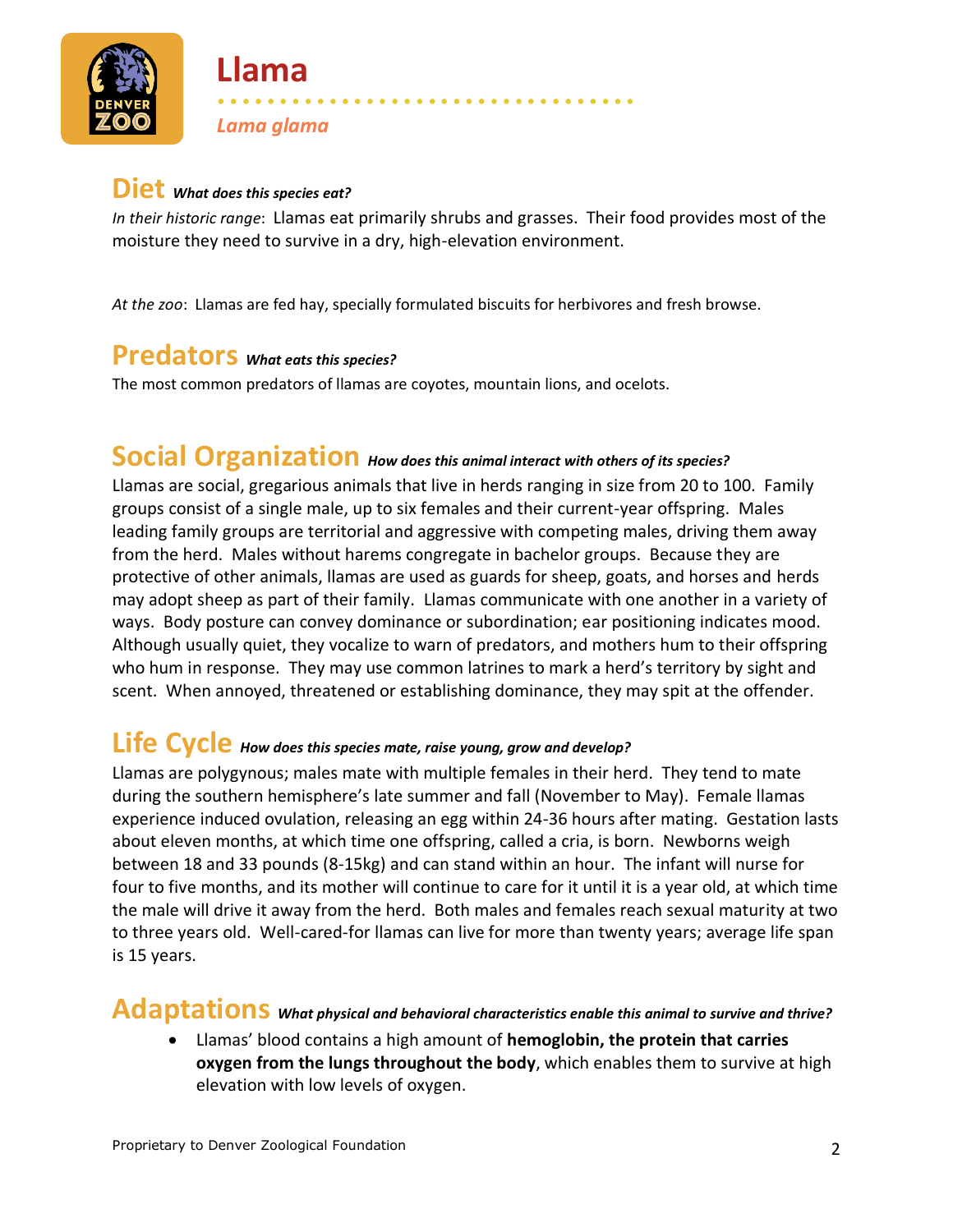

# **Llama**

*Lama glama*

#### **Diet** *What does this species eat?*

*In their historic range*: Llamas eat primarily shrubs and grasses. Their food provides most of the moisture they need to survive in a dry, high-elevation environment.

• • • • • • • • • • • • • • • • • • • • • • • • • • • • • • • • • •

*At the zoo*: Llamas are fed hay, specially formulated biscuits for herbivores and fresh browse.

### **Predators** *What eats this species?*

The most common predators of llamas are coyotes, mountain lions, and ocelots.

#### **Social Organization** *How does this animal interact with others of its species?*

Llamas are social, gregarious animals that live in herds ranging in size from 20 to 100. Family groups consist of a single male, up to six females and their current-year offspring. Males leading family groups are territorial and aggressive with competing males, driving them away from the herd. Males without harems congregate in bachelor groups. Because they are protective of other animals, llamas are used as guards for sheep, goats, and horses and herds may adopt sheep as part of their family. Llamas communicate with one another in a variety of ways. Body posture can convey dominance or subordination; ear positioning indicates mood. Although usually quiet, they vocalize to warn of predators, and mothers hum to their offspring who hum in response. They may use common latrines to mark a herd's territory by sight and scent. When annoyed, threatened or establishing dominance, they may spit at the offender.

#### **Life Cycle** *How does this species mate, raise young, grow and develop?*

Llamas are polygynous; males mate with multiple females in their herd. They tend to mate during the southern hemisphere's late summer and fall (November to May). Female llamas experience induced ovulation, releasing an egg within 24-36 hours after mating. Gestation lasts about eleven months, at which time one offspring, called a cria, is born. Newborns weigh between 18 and 33 pounds (8-15kg) and can stand within an hour. The infant will nurse for four to five months, and its mother will continue to care for it until it is a year old, at which time the male will drive it away from the herd. Both males and females reach sexual maturity at two to three years old. Well-cared-for llamas can live for more than twenty years; average life span is 15 years.

#### **Adaptations** *What physical and behavioral characteristics enable this animal to survive and thrive?*

• Llamas' blood contains a high amount of **hemoglobin, the protein that carries oxygen from the lungs throughout the body**, which enables them to survive at high elevation with low levels of oxygen.